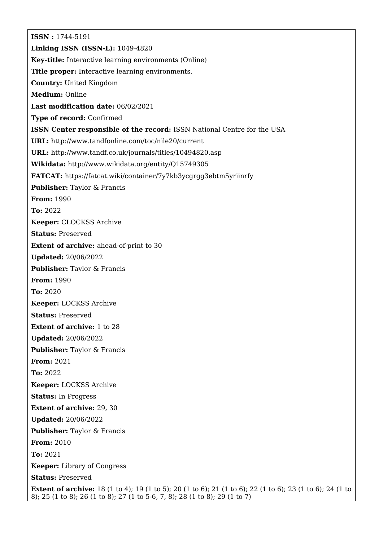**ISSN :** 1744-5191 **Linking ISSN (ISSN-L):** 1049-4820 **Key-title:** Interactive learning environments (Online) **Title proper:** Interactive learning environments. **Country:** United Kingdom **Medium:** Online **Last modification date:** 06/02/2021 **Type of record:** Confirmed **ISSN Center responsible of the record:** ISSN National Centre for the USA **URL:** <http://www.tandfonline.com/toc/nile20/current> **URL:** <http://www.tandf.co.uk/journals/titles/10494820.asp> **Wikidata:** <http://www.wikidata.org/entity/Q15749305> **FATCAT:** <https://fatcat.wiki/container/7y7kb3ycgrgg3ebtm5yriinrfy> **Publisher:** Taylor & Francis **From:** 1990 **To:** 2022 **Keeper:** CLOCKSS Archive **Status:** Preserved **Extent of archive:** ahead-of-print to 30 **Updated:** 20/06/2022 **Publisher:** Taylor & Francis **From:** 1990 **To:** 2020 **Keeper:** LOCKSS Archive **Status:** Preserved **Extent of archive:** 1 to 28 **Updated:** 20/06/2022 **Publisher:** Taylor & Francis **From:** 2021 **To:** 2022 **Keeper:** LOCKSS Archive **Status:** In Progress **Extent of archive:** 29, 30 **Updated:** 20/06/2022 **Publisher:** Taylor & Francis **From:** 2010 **To:** 2021 **Keeper:** Library of Congress **Status:** Preserved **Extent of archive:** 18 (1 to 4); 19 (1 to 5); 20 (1 to 6); 21 (1 to 6); 22 (1 to 6); 23 (1 to 6); 24 (1 to 8); 25 (1 to 8); 26 (1 to 8); 27 (1 to 5-6, 7, 8); 28 (1 to 8); 29 (1 to 7)